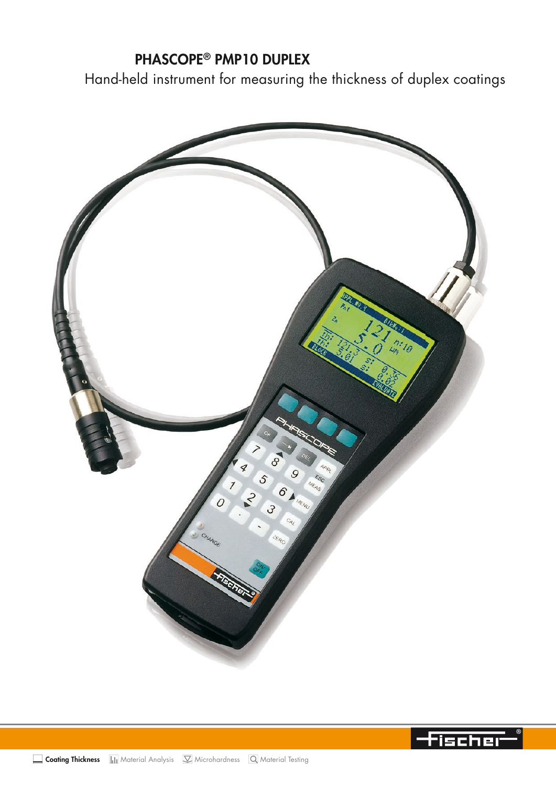# PHASCOPE® PMP10 DUPLEX

Hand-held instrument for measuring the thickness of duplex coatings



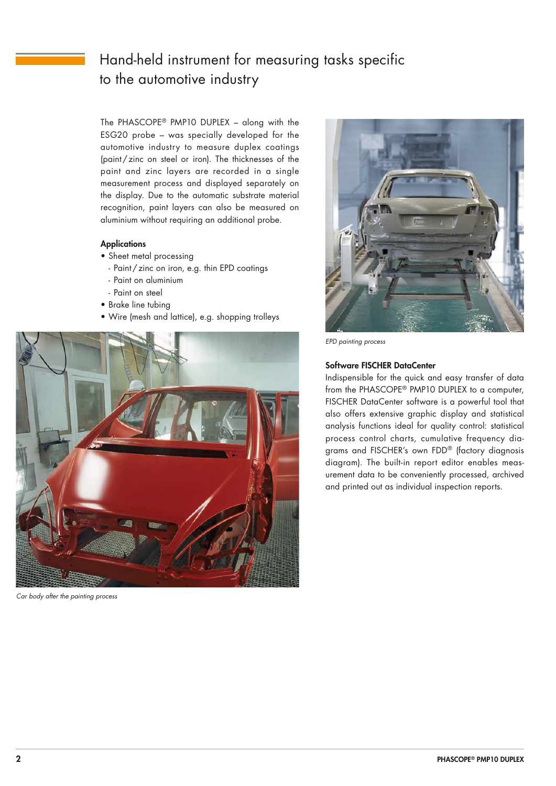# Hand-held instrument for measuring tasks specific to the automotive industry

The PHASCOPE® PMP10 DUPLEX – along with the ESG20 probe – was specially developed for the automotive industry to measure duplex coatings (paint/zinc on steel or iron). The thicknesses of the paint and zinc layers are recorded in a single measurement process and displayed separately on the display. Due to the automatic substrate material recognition, paint layers can also be measured on aluminium without requiring an additional probe.

## **Applications**

- Sheet metal processing
	- Paint/zinc on iron, e.g. thin EPD coatings
	- Paint on aluminium
- Paint on steel
- Brake line tubing
- Wire (mesh and lattice), e.g. shopping trolleys



*Car body after the painting process*



*EPD painting process*

#### Software FISCHER DataCenter

Indispensible for the quick and easy transfer of data from the PHASCOPE® PMP10 DUPLEX to a computer, FISCHER DataCenter software is a powerful tool that also offers extensive graphic display and statistical analysis functions ideal for quality control: statistical process control charts, cumulative frequency diagrams and FISCHER's own FDD® (factory diagnosis diagram). The built-in report editor enables measurement data to be conveniently processed, archived and printed out as individual inspection reports.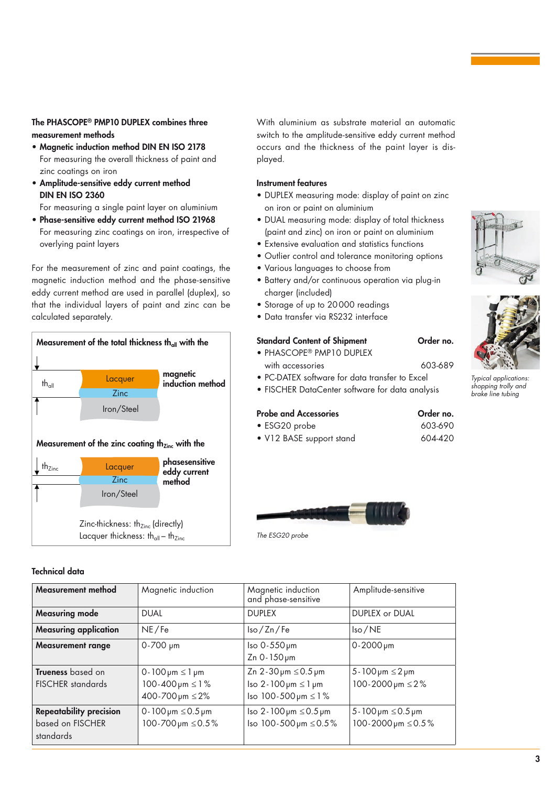## The PHASCOPE® PMP10 DUPLEX combines three measurement methods

- Magnetic induction method DIN EN ISO 2178 For measuring the overall thickness of paint and zinc coatings on iron
- Amplitude-sensitive eddy current method DIN EN ISO 2360

For measuring a single paint layer on aluminium

• Phase-sensitive eddy current method ISO 21968 For measuring zinc coatings on iron, irrespective of overlying paint layers

For the measurement of zinc and paint coatings, the magnetic induction method and the phase-sensitive eddy current method are used in parallel (duplex), so that the individual layers of paint and zinc can be calculated separately.



## **Technica**

standards

With aluminium as substrate material an automatic switch to the amplitude-sensitive eddy current method occurs and the thickness of the paint layer is displayed.

#### Instrument features

- DUPLEX measuring mode: display of paint on zinc on iron or paint on aluminium
- DUAL measuring mode: display of total thickness (paint and zinc) on iron or paint on aluminium
- Extensive evaluation and statistics functions
- Outlier control and tolerance monitoring options
- Various languages to choose from
- Battery and/or continuous operation via plug-in charaer (included)
- Storage of up to 20 000 readings
- Data transfer via RS232 interface

## Standard Content of Shipment Order no.

- PHASCOPE® PMP10 DUPLEX with accessories 603-689
- PC-DATEX software for data transfer to Excel
- FISCHER DataCenter software for data analysis

#### Probe and Accessories **Canadian Contract Order no.**

• ESG20 probe 603-690

*The ESG20 probe*

• V12 BASE support stand 604-420





*Typical applications: shopping trolly and brake line tubing*

| echnical data                                      |                                                                                                  |                                                                                                                            |                                                                                 |
|----------------------------------------------------|--------------------------------------------------------------------------------------------------|----------------------------------------------------------------------------------------------------------------------------|---------------------------------------------------------------------------------|
| Measurement method                                 | Magnetic induction                                                                               | Magnetic induction<br>and phase-sensitive                                                                                  | Amplitude-sensitive                                                             |
| <b>Measuring mode</b>                              | <b>DUAL</b>                                                                                      | <b>DUPLEX</b>                                                                                                              | <b>DUPLEX or DUAL</b>                                                           |
| <b>Measuring application</b>                       | NE/Fe                                                                                            | $\sqrt{2n}$ Fe                                                                                                             | $\text{Iso}/\text{NE}$                                                          |
| <b>Measurement range</b>                           | $0 - 700$ pm                                                                                     | $\textsf{Iso }0.550 \,\textsf{\mu m}$<br>Zn 0-150 pm                                                                       | $0 - 2000 \,\mu m$                                                              |
| Trueness based on<br><b>FISCHER</b> standards      | $0 - 100 \,\mu m \leq 1 \,\mu m$<br>$100 - 400 \,\mu m \leq 1\%$<br>$400 - 700 \,\mu m \leq 2\%$ | Zn $2 - 30 \mu m \le 0.5 \mu m$<br>$\text{Iso }2 - 100 \,\text{µm} \leq 1 \,\text{µm}$<br>Iso $100 - 500 \,\mu m \leq 1\%$ | $5 - 100 \,\mu m \leq 2 \,\mu m$<br>$100 - 2000 \,\mu m \leq 2\%$               |
| <b>Repeatability precision</b><br>based on FISCHER | 0-100 $\mu$ m $\leq$ 0.5 $\mu$ m<br>$100 - 700 \,\mu m \leq 0.5\%$                               | $\text{Iso } 2 - 100 \,\text{µm} \leq 0.5 \,\text{µm}$<br>lso 100-500µm ≤0.5%                                              | $5 - 100 \,\text{µm} \leq 0.5 \,\text{µm}$<br>$100 - 2000 \,\mu m \leq 0.5\,\%$ |